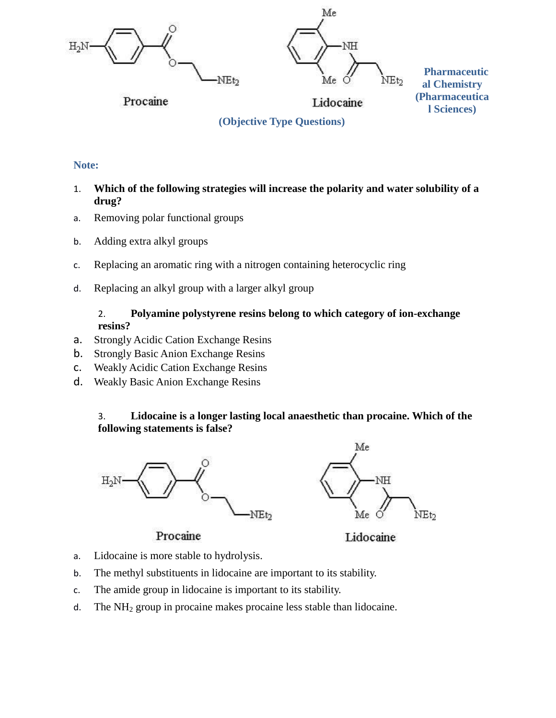

# **Note:**

- 1. **Which of the following strategies will increase the polarity and water solubility of a drug?**
- a. Removing polar functional groups
- b. Adding extra alkyl groups
- c. Replacing an aromatic ring with a nitrogen containing heterocyclic ring
- d. Replacing an alkyl group with a larger alkyl group

### 2. **Polyamine polystyrene resins belong to which category of ion-exchange resins?**

- a. Strongly Acidic Cation Exchange Resins
- b. Strongly Basic Anion Exchange Resins
- c. Weakly Acidic Cation Exchange Resins
- d. Weakly Basic Anion Exchange Resins

# 3. **Lidocaine is a longer lasting local anaesthetic than procaine. Which of the following statements is false?**



# Procaine

Lidocaine

- a. Lidocaine is more stable to hydrolysis.
- b. The methyl substituents in lidocaine are important to its stability.
- c. The amide group in lidocaine is important to its stability.
- d. The  $NH<sub>2</sub>$  group in procaine makes procaine less stable than lidocaine.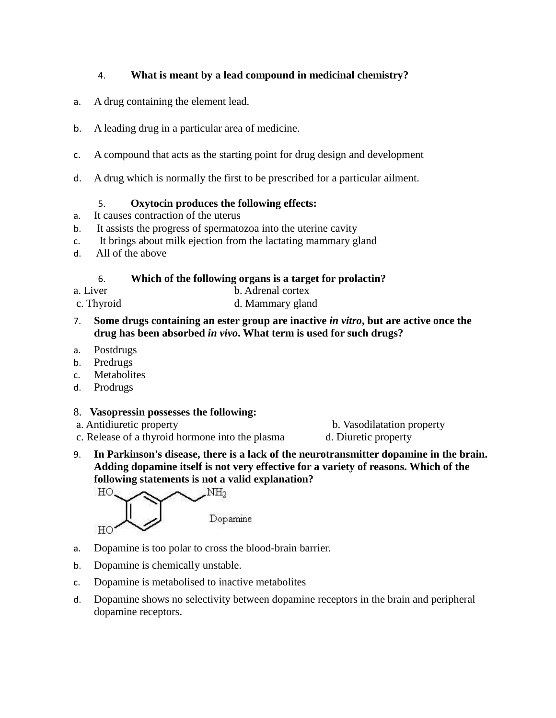# 4. **What is meant by a lead compound in medicinal chemistry?**

- a. A drug containing the element lead.
- b. A leading drug in a particular area of medicine.
- c. A compound that acts as the starting point for drug design and development
- d. A drug which is normally the first to be prescribed for a particular ailment.

#### 5. **Oxytocin produces the following effects:**

- a. It causes contraction of the uterus
- b. It assists the progress of spermatozoa into the uterine cavity
- c. It brings about milk ejection from the lactating mammary gland
- d. All of the above

### 6. **Which of the following organs is a target for prolactin?**

- 
- a. Liver b. Adrenal cortex
- c. Thyroid d. Mammary gland
- 7. **Some drugs containing an ester group are inactive** *in vitro***, but are active once the drug has been absorbed** *in vivo***. What term is used for such drugs?**
- a. Postdrugs
- b. Predrugs
- c. Metabolites
- d. Prodrugs

#### 8. **Vasopressin possesses the following:**

- 
- c. Release of a thyroid hormone into the plasma d. Diuretic property

a. Antidiuretic property b. Vasodilatation property

9. **In Parkinson's disease, there is a lack of the neurotransmitter dopamine in the brain. Adding dopamine itself is not very effective for a variety of reasons. Which of the following statements is not a valid explanation?**



Dopamine

- a. Dopamine is too polar to cross the blood-brain barrier.
- b. Dopamine is chemically unstable.
- c. Dopamine is metabolised to inactive metabolites
- d. Dopamine shows no selectivity between dopamine receptors in the brain and peripheral dopamine receptors.